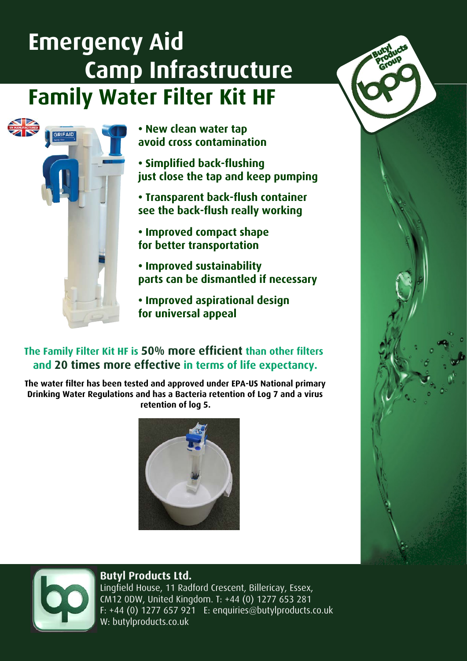# **Emergency Aid Camp Infrastructure Family Water Filter Kit HF**



**• New clean water tap avoid cross contamination**

**• Simplified back-flushing just close the tap and keep pumping**

**• Transparent back-flush container see the back-flush really working**

**• Improved compact shape for better transportation**

**• Improved sustainability parts can be dismantled if necessary**

**• Improved aspirational design for universal appeal**

## **The Family Filter Kit HF is 50% more efficient than other filters and 20 times more effective in terms of life expectancy.**

**The water filter has been tested and approved under EPA-US National primary Drinking Water Regulations and has a Bacteria retention of Log 7 and a virus retention of log 5.**







## **Butyl Products Ltd.**

Lingfield House, 11 Radford Crescent, Billericay, Essex, CM12 0DW, United Kingdom. T: +44 (0) 1277 653 281 F: +44 (0) 1277 657 921 E: enquiries@butylproducts.co.uk W: butylproducts.co.uk